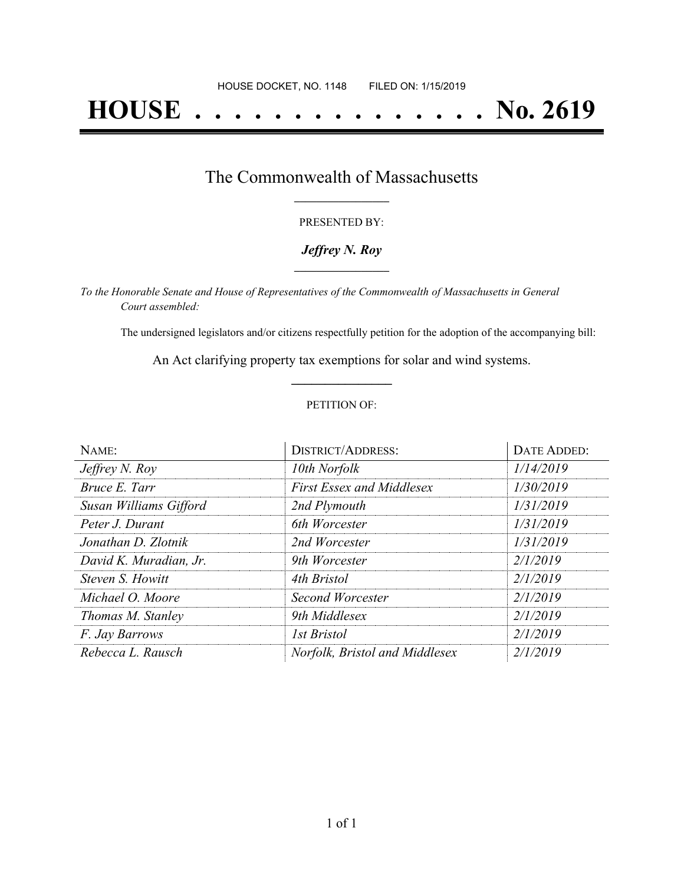# **HOUSE . . . . . . . . . . . . . . . No. 2619**

### The Commonwealth of Massachusetts **\_\_\_\_\_\_\_\_\_\_\_\_\_\_\_\_\_**

#### PRESENTED BY:

#### *Jeffrey N. Roy* **\_\_\_\_\_\_\_\_\_\_\_\_\_\_\_\_\_**

*To the Honorable Senate and House of Representatives of the Commonwealth of Massachusetts in General Court assembled:*

The undersigned legislators and/or citizens respectfully petition for the adoption of the accompanying bill:

An Act clarifying property tax exemptions for solar and wind systems. **\_\_\_\_\_\_\_\_\_\_\_\_\_\_\_**

#### PETITION OF:

| NAME:                  | <b>DISTRICT/ADDRESS:</b>         | DATE ADDED: |
|------------------------|----------------------------------|-------------|
| Jeffrey N. Roy         | 10th Norfolk                     | 1/14/2019   |
| Bruce E. Tarr          | <b>First Essex and Middlesex</b> | 1/30/2019   |
| Susan Williams Gifford | 2nd Plymouth                     | 1/31/2019   |
| Peter J. Durant        | 6th Worcester                    | 1/31/2019   |
| Jonathan D. Zlotnik    | 2nd Worcester                    | 1/31/2019   |
| David K. Muradian, Jr. | 9th Worcester                    | 2/1/2019    |
| Steven S. Howitt       | 4th Bristol                      | 2/1/2019    |
| Michael O. Moore       | Second Worcester                 | 2/1/2019    |
| Thomas M. Stanley      | 9th Middlesex                    | 2/1/2019    |
| F. Jay Barrows         | <b>1st Bristol</b>               | 2/1/2019    |
| Rebecca L. Rausch      | Norfolk, Bristol and Middlesex   | 2/1/2019    |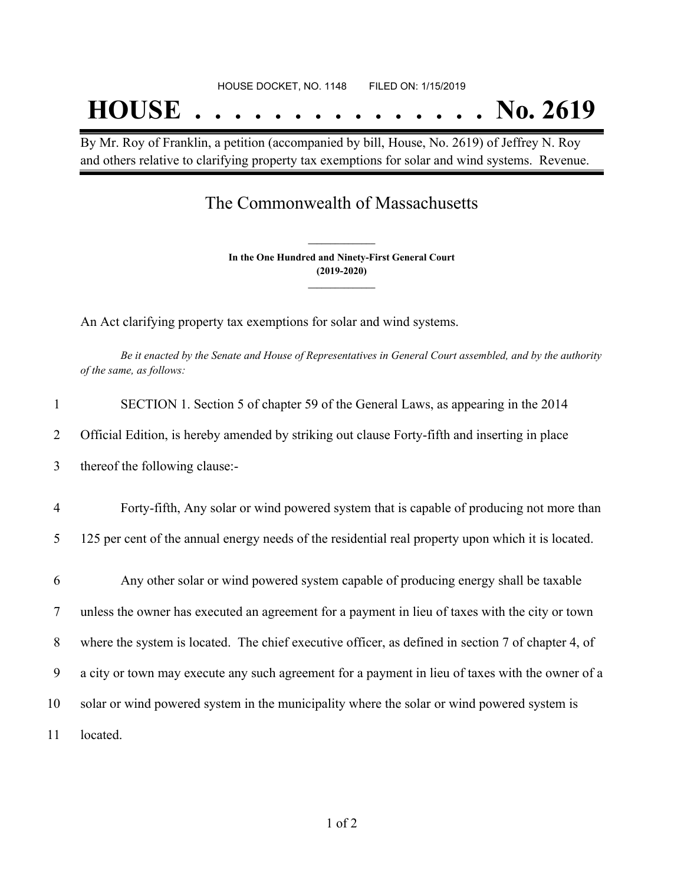By Mr. Roy of Franklin, a petition (accompanied by bill, House, No. 2619) of Jeffrey N. Roy and others relative to clarifying property tax exemptions for solar and wind systems. Revenue.

## The Commonwealth of Massachusetts

**In the One Hundred and Ninety-First General Court (2019-2020) \_\_\_\_\_\_\_\_\_\_\_\_\_\_\_**

**\_\_\_\_\_\_\_\_\_\_\_\_\_\_\_**

An Act clarifying property tax exemptions for solar and wind systems.

Be it enacted by the Senate and House of Representatives in General Court assembled, and by the authority *of the same, as follows:*

| $\mathbf{1}$   | SECTION 1. Section 5 of chapter 59 of the General Laws, as appearing in the 2014                   |
|----------------|----------------------------------------------------------------------------------------------------|
| 2              | Official Edition, is hereby amended by striking out clause Forty-fifth and inserting in place      |
| 3              | thereof the following clause:-                                                                     |
| $\overline{4}$ | Forty-fifth, Any solar or wind powered system that is capable of producing not more than           |
| 5              | 125 per cent of the annual energy needs of the residential real property upon which it is located. |
| 6              | Any other solar or wind powered system capable of producing energy shall be taxable                |
| 7              | unless the owner has executed an agreement for a payment in lieu of taxes with the city or town    |
| 8              | where the system is located. The chief executive officer, as defined in section 7 of chapter 4, of |
| 9              | a city or town may execute any such agreement for a payment in lieu of taxes with the owner of a   |
| 10             | solar or wind powered system in the municipality where the solar or wind powered system is         |
| 11             | located.                                                                                           |
|                |                                                                                                    |